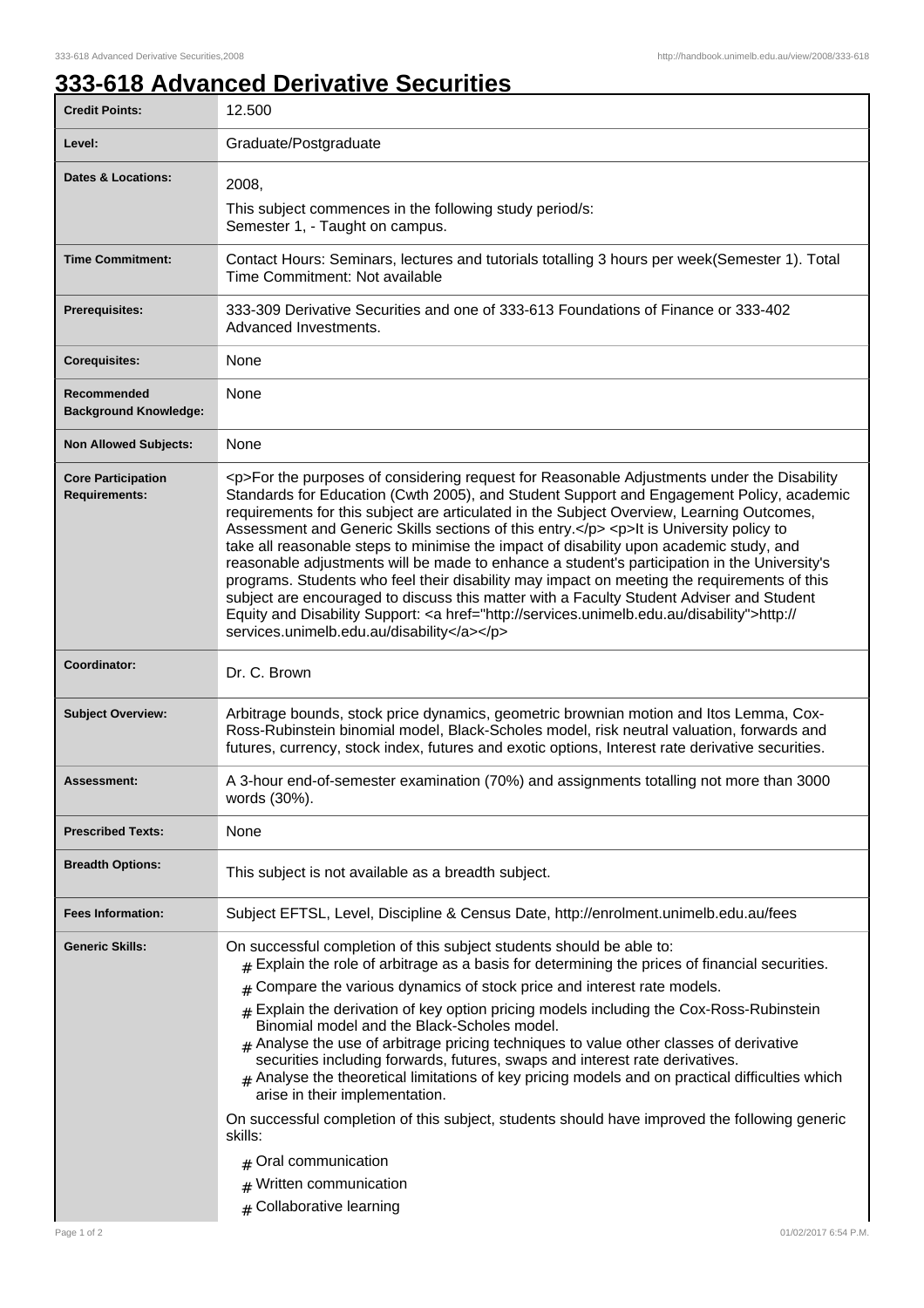## **333-618 Advanced Derivative Securities**

| <b>Credit Points:</b>                             | 12.500                                                                                                                                                                                                                                                                                                                                                                                                                                                                                                                                                                                                                                                                                                                                                                                                                                                                                                                       |
|---------------------------------------------------|------------------------------------------------------------------------------------------------------------------------------------------------------------------------------------------------------------------------------------------------------------------------------------------------------------------------------------------------------------------------------------------------------------------------------------------------------------------------------------------------------------------------------------------------------------------------------------------------------------------------------------------------------------------------------------------------------------------------------------------------------------------------------------------------------------------------------------------------------------------------------------------------------------------------------|
| Level:                                            | Graduate/Postgraduate                                                                                                                                                                                                                                                                                                                                                                                                                                                                                                                                                                                                                                                                                                                                                                                                                                                                                                        |
| Dates & Locations:                                | 2008,                                                                                                                                                                                                                                                                                                                                                                                                                                                                                                                                                                                                                                                                                                                                                                                                                                                                                                                        |
|                                                   | This subject commences in the following study period/s:<br>Semester 1, - Taught on campus.                                                                                                                                                                                                                                                                                                                                                                                                                                                                                                                                                                                                                                                                                                                                                                                                                                   |
| <b>Time Commitment:</b>                           | Contact Hours: Seminars, lectures and tutorials totalling 3 hours per week(Semester 1). Total<br>Time Commitment: Not available                                                                                                                                                                                                                                                                                                                                                                                                                                                                                                                                                                                                                                                                                                                                                                                              |
| <b>Prerequisites:</b>                             | 333-309 Derivative Securities and one of 333-613 Foundations of Finance or 333-402<br>Advanced Investments.                                                                                                                                                                                                                                                                                                                                                                                                                                                                                                                                                                                                                                                                                                                                                                                                                  |
| <b>Corequisites:</b>                              | None                                                                                                                                                                                                                                                                                                                                                                                                                                                                                                                                                                                                                                                                                                                                                                                                                                                                                                                         |
| Recommended<br><b>Background Knowledge:</b>       | None                                                                                                                                                                                                                                                                                                                                                                                                                                                                                                                                                                                                                                                                                                                                                                                                                                                                                                                         |
| <b>Non Allowed Subjects:</b>                      | None                                                                                                                                                                                                                                                                                                                                                                                                                                                                                                                                                                                                                                                                                                                                                                                                                                                                                                                         |
| <b>Core Participation</b><br><b>Requirements:</b> | <p>For the purposes of considering request for Reasonable Adjustments under the Disability<br/>Standards for Education (Cwth 2005), and Student Support and Engagement Policy, academic<br/>requirements for this subject are articulated in the Subject Overview, Learning Outcomes,<br/>Assessment and Generic Skills sections of this entry.</p> <p>lt is University policy to<br/>take all reasonable steps to minimise the impact of disability upon academic study, and<br/>reasonable adjustments will be made to enhance a student's participation in the University's<br/>programs. Students who feel their disability may impact on meeting the requirements of this<br/>subject are encouraged to discuss this matter with a Faculty Student Adviser and Student<br/>Equity and Disability Support: &lt; a href="http://services.unimelb.edu.au/disability"&gt;http://<br/>services.unimelb.edu.au/disability</p> |
| Coordinator:                                      | Dr. C. Brown                                                                                                                                                                                                                                                                                                                                                                                                                                                                                                                                                                                                                                                                                                                                                                                                                                                                                                                 |
| <b>Subject Overview:</b>                          | Arbitrage bounds, stock price dynamics, geometric brownian motion and Itos Lemma, Cox-<br>Ross-Rubinstein binomial model, Black-Scholes model, risk neutral valuation, forwards and<br>futures, currency, stock index, futures and exotic options, Interest rate derivative securities.                                                                                                                                                                                                                                                                                                                                                                                                                                                                                                                                                                                                                                      |
| Assessment:                                       | A 3-hour end-of-semester examination (70%) and assignments totalling not more than 3000<br>words (30%).                                                                                                                                                                                                                                                                                                                                                                                                                                                                                                                                                                                                                                                                                                                                                                                                                      |
| <b>Prescribed Texts:</b>                          | None                                                                                                                                                                                                                                                                                                                                                                                                                                                                                                                                                                                                                                                                                                                                                                                                                                                                                                                         |
| <b>Breadth Options:</b>                           | This subject is not available as a breadth subject.                                                                                                                                                                                                                                                                                                                                                                                                                                                                                                                                                                                                                                                                                                                                                                                                                                                                          |
| <b>Fees Information:</b>                          | Subject EFTSL, Level, Discipline & Census Date, http://enrolment.unimelb.edu.au/fees                                                                                                                                                                                                                                                                                                                                                                                                                                                                                                                                                                                                                                                                                                                                                                                                                                         |
| <b>Generic Skills:</b>                            | On successful completion of this subject students should be able to:<br>Explain the role of arbitrage as a basis for determining the prices of financial securities.<br>Compare the various dynamics of stock price and interest rate models.<br>#<br>$#$ Explain the derivation of key option pricing models including the Cox-Ross-Rubinstein<br>Binomial model and the Black-Scholes model.<br>$#$ Analyse the use of arbitrage pricing techniques to value other classes of derivative<br>securities including forwards, futures, swaps and interest rate derivatives.<br>$#$ Analyse the theoretical limitations of key pricing models and on practical difficulties which<br>arise in their implementation.<br>On successful completion of this subject, students should have improved the following generic<br>skills:<br>Oral communication<br>Written communication<br>#                                            |
|                                                   | Collaborative learning<br>#                                                                                                                                                                                                                                                                                                                                                                                                                                                                                                                                                                                                                                                                                                                                                                                                                                                                                                  |